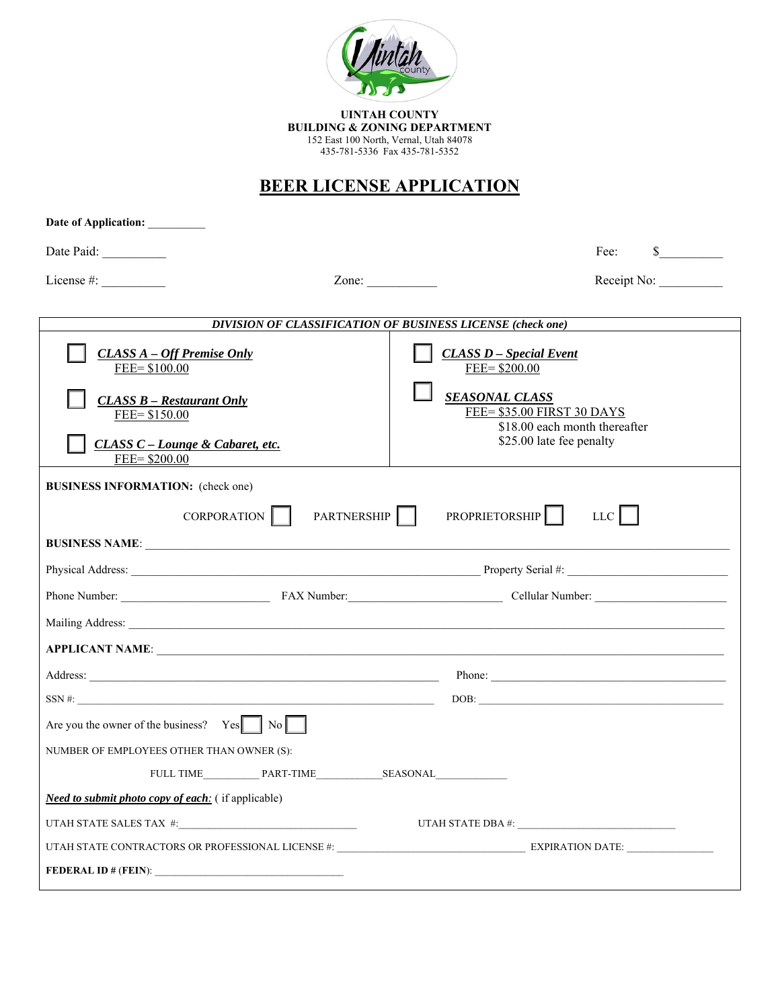

**UINTAH COUNTY BUILDING & ZONING DEPARTMENT**<br>152 East 100 North, Vernal, Utah 84078<br>435-781-5336 Fax 435-781-5352

## **BEER LICENSE APPLICATION**

| Date of Application: _________                                      |                                                                                      |
|---------------------------------------------------------------------|--------------------------------------------------------------------------------------|
| Date Paid:                                                          | $\sim$<br>Fee:                                                                       |
| License #:<br>Zone: $\qquad \qquad$                                 | Receipt No:                                                                          |
|                                                                     |                                                                                      |
|                                                                     | DIVISION OF CLASSIFICATION OF BUSINESS LICENSE (check one)                           |
| <b>CLASS A - Off Premise Only</b><br>FEE= \$100.00                  | <b>CLASS D</b> - Special Event<br>FEE= \$200.00                                      |
| <b>CLASS B - Restaurant Only</b><br>FEE= \$150.00                   | <b>SEASONAL CLASS</b><br>FEE= \$35.00 FIRST 30 DAYS<br>\$18.00 each month thereafter |
| CLASS C - Lounge & Cabaret, etc.<br>FEE= \$200.00                   | \$25.00 late fee penalty                                                             |
| <b>BUSINESS INFORMATION:</b> (check one)                            |                                                                                      |
| CORPORATION  <br>PARTNERSHIP                                        | PROPRIETORSHIP  <br>LLC                                                              |
|                                                                     |                                                                                      |
|                                                                     |                                                                                      |
|                                                                     |                                                                                      |
|                                                                     |                                                                                      |
|                                                                     |                                                                                      |
|                                                                     |                                                                                      |
|                                                                     |                                                                                      |
|                                                                     | Phone:                                                                               |
| Are you the owner of the business? $Yes$ $\parallel$ No $\parallel$ |                                                                                      |
| NUMBER OF EMPLOYEES OTHER THAN OWNER (S):                           |                                                                                      |
| FULL TIME PART-TIME SEASONAL                                        |                                                                                      |
| <b>Need to submit photo copy of each:</b> (if applicable)           |                                                                                      |
|                                                                     | UTAH STATE DBA #: $\frac{1}{2}$                                                      |
|                                                                     |                                                                                      |